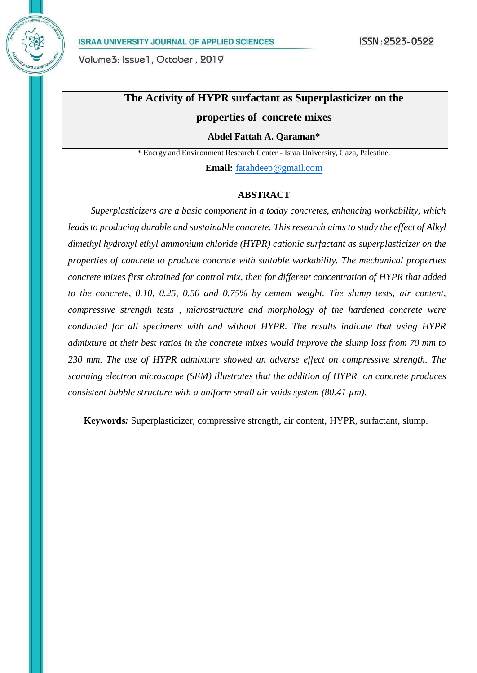# **The Activity of HYPR surfactant as Superplasticizer on the**

# **properties of concrete mixes**

**Abdel Fattah A. Qaraman\***

\* Energy and Environment Research Center - Israa University, Gaza, Palestine. **Email:** [fatahdeep@gmail.com](mailto:fatahdeep@gmail.com)

#### **ABSTRACT**

*Superplasticizers are a basic component in a today concretes, enhancing workability, which leads to producing durable and sustainable concrete. This research aims to study the effect of Alkyl dimethyl hydroxyl ethyl ammonium chloride (HYPR) cationic surfactant as superplasticizer on the properties of concrete to produce concrete with suitable workability. The mechanical properties concrete mixes first obtained for control mix, then for different concentration of HYPR that added to the concrete, 0.10, 0.25, 0.50 and 0.75% by cement weight. The slump tests, air content, compressive strength tests , microstructure and morphology of the hardened concrete were conducted for all specimens with and without HYPR. The results indicate that using HYPR admixture at their best ratios in the concrete mixes would improve the slump loss from 70 mm to 230 mm. The use of HYPR admixture showed an adverse effect on compressive strength*. *The scanning electron microscope (SEM) illustrates that the addition of HYPR on concrete produces consistent bubble structure with a uniform small air voids system (80.41 µm).*

**Keywords***:* Superplasticizer, compressive strength, air content, HYPR, surfactant, slump.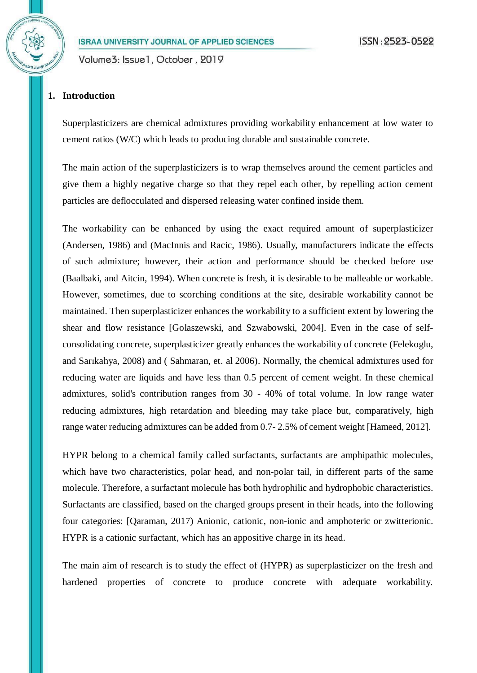Volume3: Issue1, October, 2019

# **1. Introduction**

Superplasticizers are chemical admixtures providing workability enhancement at low water to cement ratios (W/C) which leads to producing durable and sustainable concrete.

The main action of the superplasticizers is to wrap themselves around the cement particles and give them a highly negative charge so that they repel each other, by repelling action cement particles are deflocculated and dispersed releasing water confined inside them.

The workability can be enhanced by using the exact required amount of superplasticizer (Andersen, 1986) and (MacInnis and Racic, 1986). Usually, manufacturers indicate the effects of such admixture; however, their action and performance should be checked before use (Baalbaki, and Aitcin, 1994). When concrete is fresh, it is desirable to be malleable or workable. However, sometimes, due to scorching conditions at the site, desirable workability cannot be maintained. Then superplasticizer enhances the workability to a sufficient extent by lowering the shear and flow resistance [Golaszewski, and Szwabowski, 2004]. Even in the case of selfconsolidating concrete, superplasticizer greatly enhances the workability of concrete (Felekoglu, and Sarıkahya, 2008) and ( Sahmaran, et. al 2006). Normally, the chemical admixtures used for reducing water are liquids and have less than 0.5 percent of cement weight. In these chemical admixtures, solid's contribution ranges from 30 - 40% of total volume. In low range water reducing admixtures, high retardation and bleeding may take place but, comparatively, high range water reducing admixtures can be added from 0.7- 2.5% of cement weight [Hameed, 2012].

HYPR belong to a chemical family called surfactants, surfactants are amphipathic molecules, which have two characteristics, polar head, and non-polar tail, in different parts of the same molecule. Therefore, a surfactant molecule has both hydrophilic and hydrophobic characteristics. Surfactants are classified, based on the charged groups present in their heads, into the following four categories: [Qaraman, 2017) Anionic, cationic, non-ionic and amphoteric or zwitterionic. HYPR is a cationic surfactant, which has an appositive charge in its head.

The main aim of research is to study the effect of (HYPR) as superplasticizer on the fresh and hardened properties of concrete to produce concrete with adequate workability.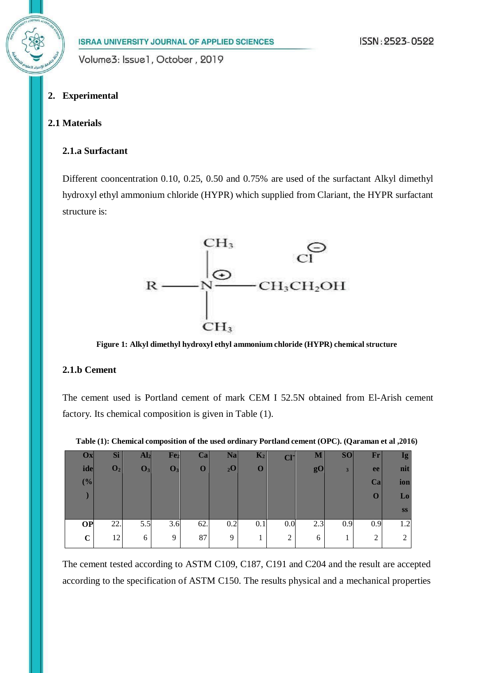# **2. Experimental**

# **2.1 Materials**

#### **2.1.a Surfactant**

Different cooncentration 0.10, 0.25, 0.50 and 0.75% are used of the surfactant Alkyl dimethyl hydroxyl ethyl ammonium chloride (HYPR) which supplied from Clariant, the HYPR surfactant structure is:



**Figure 1: Alkyl dimethyl hydroxyl ethyl ammonium chloride (HYPR) chemical structure**

#### **2.1.b Cement**

The cement used is Portland cement of mark CEM I 52.5N obtained from El-Arish cement factory. Its chemical composition is given in Table (1).

| $\mathbf{O} \mathbf{x}$ | Si             | $\mathbf{Al}_2$ | Fe <sub>2</sub> | $\mathbf{Ca}$ | <b>Na</b>      | $K_2$       | C <sub>I</sub> | M              | S <sub>O</sub> | $\mathbf{Fr}$ | Ig        |
|-------------------------|----------------|-----------------|-----------------|---------------|----------------|-------------|----------------|----------------|----------------|---------------|-----------|
| ide                     | $\mathbf{O}_2$ | $\mathbf{O}_3$  | $\mathbf{O}_3$  | 0             | 2 <sub>2</sub> | $\mathbf 0$ |                | g <sub>0</sub> | 3              | ee            | nit       |
| (%)                     |                |                 |                 |               |                |             |                |                |                | Ca            | ion       |
|                         |                |                 |                 |               |                |             |                |                |                | $\Omega$      | Lo        |
|                         |                |                 |                 |               |                |             |                |                |                |               | <b>SS</b> |
| <b>OP</b>               | 22.            | 5.5             | 3.6             | 62.           | 0.2            | 0.1         | 0.0            | 2.3            | 0.9            | 0.9           | 1.2       |
| $\mathbf C$             | 12             | 6               | 9               | 87            | 9              |             | $\overline{2}$ | 6              | T              | $\gamma$<br>∠ |           |

**Table (1): Chemical composition of the used ordinary Portland cement (OPC). (Qaraman et al ,2016)**

The cement tested according to ASTM C109, C187, C191 and C204 and the result are accepted according to the specification of ASTM C150. The results physical and a mechanical properties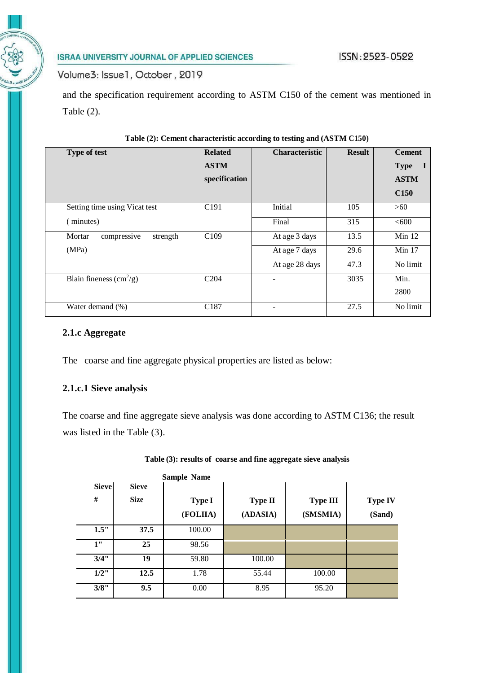Volume3: Issue1, October, 2019

and the specification requirement according to ASTM C150 of the cement was mentioned in Table (2).

| Type of test                            | <b>Related</b><br><b>ASTM</b><br>specification | <b>Characteristic</b> | <b>Result</b> | <b>Cement</b><br><b>Type</b><br>$\bf{I}$<br><b>ASTM</b> |
|-----------------------------------------|------------------------------------------------|-----------------------|---------------|---------------------------------------------------------|
|                                         |                                                |                       |               | C <sub>150</sub>                                        |
| Setting time using Vicat test           | C <sub>191</sub>                               | Initial               | 105           | >60                                                     |
| (minutes)                               |                                                | Final                 | 315           | < 600                                                   |
| Mortar<br>strength<br>compressive       | C <sub>109</sub>                               | At age 3 days         | 13.5          | Min $12$                                                |
| (MPa)                                   |                                                | At age 7 days         | 29.6          | Min $17$                                                |
|                                         |                                                | At age 28 days        | 47.3          | No limit                                                |
| Blain fineness $\text{cm}^2/\text{g}$ ) | C <sub>204</sub>                               |                       | 3035          | Min.                                                    |
|                                         |                                                |                       |               | 2800                                                    |
| Water demand (%)                        | C <sub>187</sub>                               |                       | 27.5          | No limit                                                |

# **Table (2): Cement characteristic according to testing and (ASTM C150)**

# **2.1.c Aggregate**

The coarse and fine aggregate physical properties are listed as below:

# **2.1.c.1 Sieve analysis**

The coarse and fine aggregate sieve analysis was done according to ASTM C136; the result was listed in the Table (3).

|              |              | <b>Sample Name</b> |                |                 |                |
|--------------|--------------|--------------------|----------------|-----------------|----------------|
| <b>Sieve</b> | <b>Sieve</b> |                    |                |                 |                |
| #            | <b>Size</b>  | <b>Type I</b>      | <b>Type II</b> | <b>Type III</b> | <b>Type IV</b> |
|              |              | (FOLIIA)           | (ADASIA)       | (SMSMIA)        | (Sand)         |
| 1.5"         | 37.5         | 100.00             |                |                 |                |
| 1"           | 25           | 98.56              |                |                 |                |
| 3/4"         | 19           | 59.80              | 100.00         |                 |                |
| $1/2$ "      | 12.5         | 1.78               | 55.44          | 100.00          |                |
| 3/8"         | 9.5          | 0.00               | 8.95           | 95.20           |                |

|  |  |  |  | Table (3): results of coarse and fine aggregate sieve analysis |  |
|--|--|--|--|----------------------------------------------------------------|--|
|  |  |  |  |                                                                |  |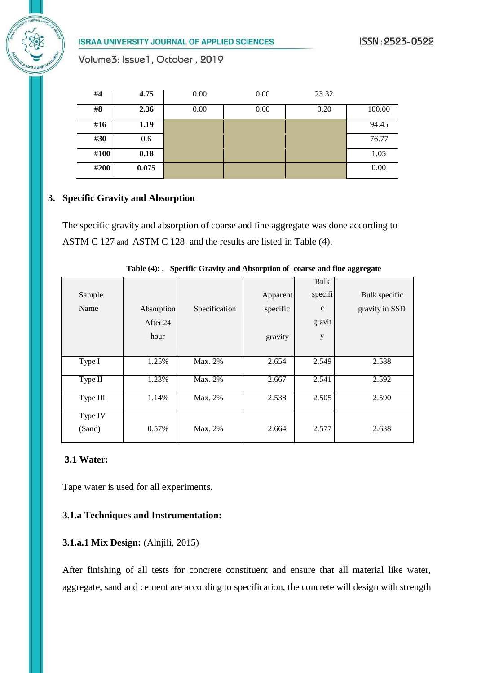Volume3: Issue1, October, 2019

| #4   | 4.75  | 0.00 | 0.00 | 23.32 |        |
|------|-------|------|------|-------|--------|
| #8   | 2.36  | 0.00 | 0.00 | 0.20  | 100.00 |
| #16  | 1.19  |      |      |       | 94.45  |
| #30  | 0.6   |      |      |       | 76.77  |
| #100 | 0.18  |      |      |       | 1.05   |
| #200 | 0.075 |      |      |       | 0.00   |

# **3. Specific Gravity and Absorption**

The specific gravity and absorption of coarse and fine aggregate was done according to ASTM C 127 and ASTM C 128 and the results are listed in Table (4).

|          |            |               |          | Bulk         |                |
|----------|------------|---------------|----------|--------------|----------------|
| Sample   |            |               | Apparent | specifi      | Bulk specific  |
| Name     | Absorption | Specification | specific | $\mathbf{C}$ | gravity in SSD |
|          | After 24   |               |          | gravit       |                |
|          | hour       |               | gravity  | y            |                |
|          |            |               |          |              |                |
| Type I   | 1.25%      | Max. 2%       | 2.654    | 2.549        | 2.588          |
| Type II  | 1.23%      | Max. 2%       | 2.667    | 2.541        | 2.592          |
| Type III | 1.14%      | Max. 2%       | 2.538    | 2.505        | 2.590          |
| Type IV  |            |               |          |              |                |
| (Sand)   | 0.57%      | Max. 2%       | 2.664    | 2.577        | 2.638          |
|          |            |               |          |              |                |

**Table (4): . Specific Gravity and Absorption of coarse and fine aggregate**

# **3.1 Water:**

Tape water is used for all experiments.

# **3.1.a Techniques and Instrumentation:**

# **3.1.a.1 Mix Design:** (Alnjili, 2015)

After finishing of all tests for concrete constituent and ensure that all material like water, aggregate, sand and cement are according to specification, the concrete will design with strength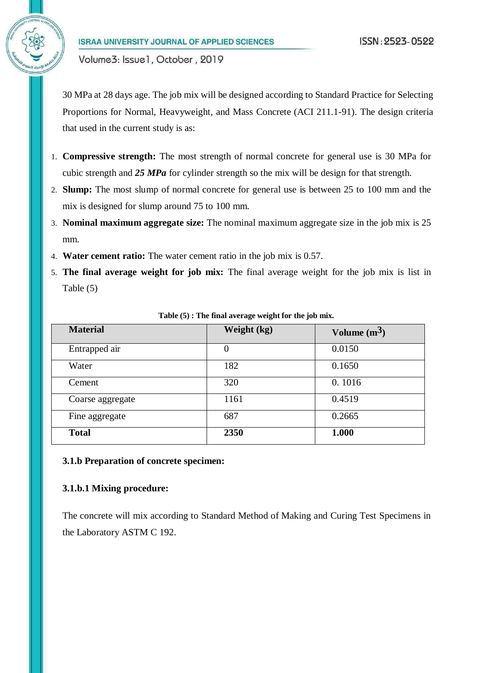30 MPa at 28 days age. The job mix will be designed according to Standard Practice for Selecting Proportions for Normal, Heavyweight, and Mass Concrete (ACI 211.1-91). The design criteria that used in the current study is as:

- 1. **Compressive strength:** The most strength of normal concrete for general use is 30 MPa for cubic strength and *25 MPa* for cylinder strength so the mix will be design for that strength.
- 2. **Slump:** The most slump of normal concrete for general use is between 25 to 100 mm and the mix is designed for slump around 75 to 100 mm.
- 3. **Nominal maximum aggregate size:** The nominal maximum aggregate size in the job mix is 25 mm.
- 4. **Water cement ratio:** The water cement ratio in the job mix is 0.57.
- 5. **The final average weight for job mix:** The final average weight for the job mix is list in Table (5)

| <b>Material</b>  | Weight (kg)    | Volume $(m^3)$ |
|------------------|----------------|----------------|
| Entrapped air    | $\overline{0}$ | 0.0150         |
| Water            | 182            | 0.1650         |
| Cement           | 320            | 0.1016         |
| Coarse aggregate | 1161           | 0.4519         |
| Fine aggregate   | 687            | 0.2665         |
| <b>Total</b>     | 2350           | 1.000          |

**Table (5) : The final average weight for the job mix.**

#### **3.1.b Preparation of concrete specimen:**

#### **3.1.b.1 Mixing procedure:**

The concrete will mix according to Standard Method of Making and Curing Test Specimens in the Laboratory ASTM C 192.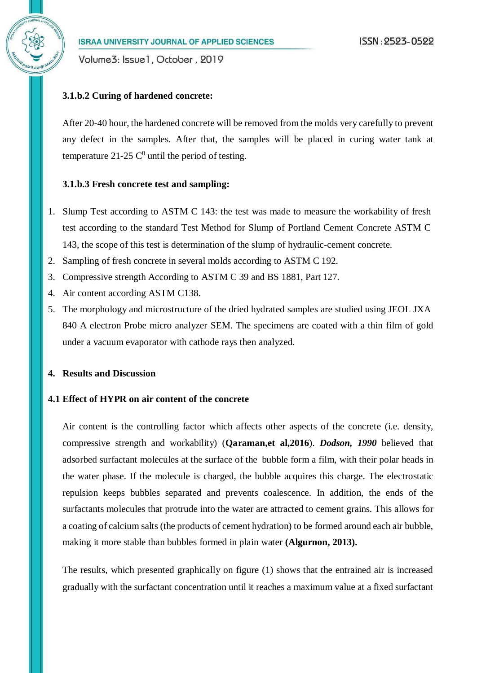Volume3: Issue1, October, 2019

### **3.1.b.2 Curing of hardened concrete:**

After 20-40 hour, the hardened concrete will be removed from the molds very carefully to prevent any defect in the samples. After that, the samples will be placed in curing water tank at temperature 21-25  $\mathbb{C}^0$  until the period of testing.

#### **3.1.b.3 Fresh concrete test and sampling:**

- 1. Slump Test according to ASTM C 143: the test was made to measure the workability of fresh test according to the standard Test Method for Slump of Portland Cement Concrete ASTM C 143, the scope of this test is determination of the slump of hydraulic-cement concrete.
- 2. Sampling of fresh concrete in several molds according to ASTM C 192.
- 3. Compressive strength According to ASTM C 39 and BS 1881, Part 127.
- 4. Air content according ASTM C138.
- 5. The morphology and microstructure of the dried hydrated samples are studied using JEOL JXA 840 A electron Probe micro analyzer SEM. The specimens are coated with a thin film of gold under a vacuum evaporator with cathode rays then analyzed.

# **4. Results and Discussion**

# **4.1 Effect of HYPR on air content of the concrete**

Air content is the controlling factor which affects other aspects of the concrete (i.e. density, compressive strength and workability) (**Qaraman,et al,2016**). *Dodson, 1990* believed that adsorbed surfactant molecules at the surface of the bubble form a film, with their polar heads in the water phase. If the molecule is charged, the bubble acquires this charge. The electrostatic repulsion keeps bubbles separated and prevents coalescence. In addition, the ends of the surfactants molecules that protrude into the water are attracted to cement grains. This allows for a coating of calcium salts (the products of cement hydration) to be formed around each air bubble, making it more stable than bubbles formed in plain water **(Algurnon, 2013).**

The results, which presented graphically on figure (1) shows that the entrained air is increased gradually with the surfactant concentration until it reaches a maximum value at a fixed surfactant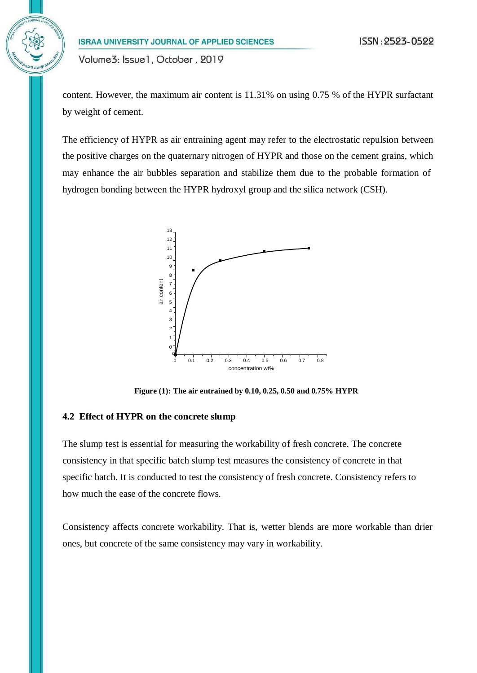content. However, the maximum air content is 11.31% on using 0.75 % of the HYPR surfactant by weight of cement.

The efficiency of HYPR as air entraining agent may refer to the electrostatic repulsion between the positive charges on the quaternary nitrogen of HYPR and those on the cement grains, which may enhance the air bubbles separation and stabilize them due to the probable formation of hydrogen bonding between the HYPR hydroxyl group and the silica network (CSH).



**Figure (1): The air entrained by 0.10, 0.25, 0.50 and 0.75% HYPR**

#### **4.2 Effect of HYPR on the concrete slump**

The slump test is essential for measuring the workability of fresh concrete. The concrete consistency in that specific batch slump test measures the consistency of concrete in that specific batch. It is conducted to test the consistency of fresh concrete. Consistency refers to how much the ease of the concrete flows.

Consistency affects concrete workability. That is, wetter blends are more workable than drier ones, but concrete of the same consistency may vary in workability.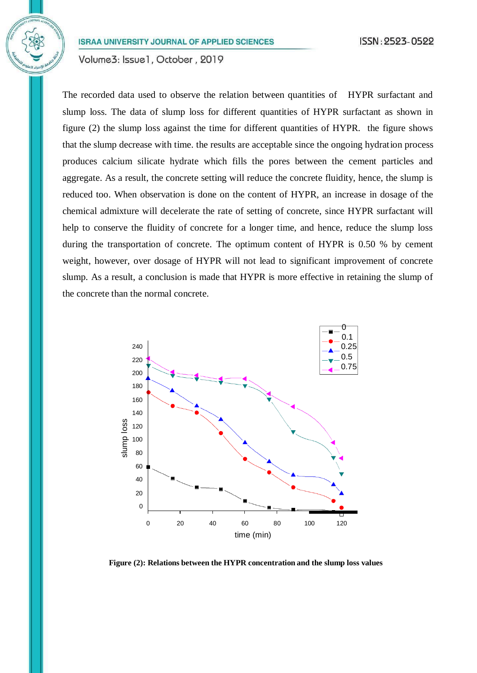Volume3: Issue1, October, 2019

The recorded data used to observe the relation between quantities of HYPR surfactant and slump loss. The data of slump loss for different quantities of HYPR surfactant as shown in figure (2) the slump loss against the time for different quantities of HYPR. the figure shows that the slump decrease with time. the results are acceptable since the ongoing hydration process produces calcium silicate hydrate which fills the pores between the cement particles and aggregate. As a result, the concrete setting will reduce the concrete fluidity, hence, the slump is reduced too. When observation is done on the content of HYPR, an increase in dosage of the chemical admixture will decelerate the rate of setting of concrete, since HYPR surfactant will help to conserve the fluidity of concrete for a longer time, and hence, reduce the slump loss during the transportation of concrete. The optimum content of HYPR is 0.50 % by cement weight, however, over dosage of HYPR will not lead to significant improvement of concrete slump. As a result, a conclusion is made that HYPR is more effective in retaining the slump of the concrete than the normal concrete.



**Figure (2): Relations between the HYPR concentration and the slump loss values**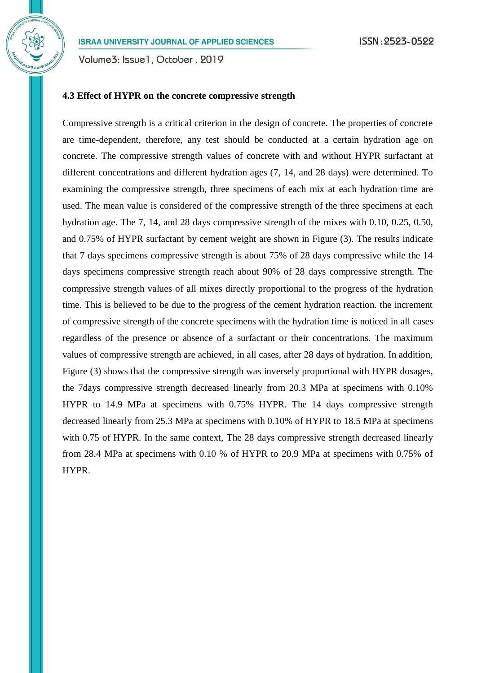Volume3: Issue1, October, 2019

# **4.3 Effect of HYPR on the concrete compressive strength**

Compressive strength is a critical criterion in the design of concrete. The properties of concrete are time-dependent, therefore, any test should be conducted at a certain hydration age on concrete. The compressive strength values of concrete with and without HYPR surfactant at different concentrations and different hydration ages (7, 14, and 28 days) were determined. To examining the compressive strength, three specimens of each mix at each hydration time are used. The mean value is considered of the compressive strength of the three specimens at each hydration age. The 7, 14, and 28 days compressive strength of the mixes with 0.10, 0.25, 0.50, and 0.75% of HYPR surfactant by cement weight are shown in Figure (3). The results indicate that 7 days specimens compressive strength is about 75% of 28 days compressive while the 14 days specimens compressive strength reach about 90% of 28 days compressive strength. The compressive strength values of all mixes directly proportional to the progress of the hydration time. This is believed to be due to the progress of the cement hydration reaction. the increment of compressive strength of the concrete specimens with the hydration time is noticed in all cases regardless of the presence or absence of a surfactant or their concentrations. The maximum values of compressive strength are achieved, in all cases, after 28 days of hydration. In addition, Figure (3) shows that the compressive strength was inversely proportional with HYPR dosages, the 7days compressive strength decreased linearly from 20.3 MPa at specimens with 0.10% HYPR to 14.9 MPa at specimens with 0.75% HYPR. The 14 days compressive strength decreased linearly from 25.3 MPa at specimens with 0.10% of HYPR to 18.5 MPa at specimens with 0.75 of HYPR. In the same context, The 28 days compressive strength decreased linearly from 28.4 MPa at specimens with 0.10 % of HYPR to 20.9 MPa at specimens with 0.75% of HYPR.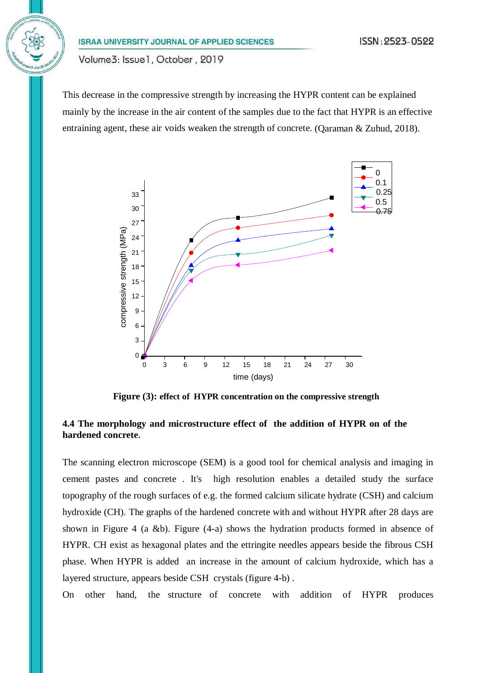Volume3: Issue1, October, 2019

This decrease in the compressive strength by increasing the HYPR content can be explained mainly by the increase in the air content of the samples due to the fact that HYPR is an effective entraining agent, these air voids weaken the strength of concrete. (Qaraman & Zuhud, 2018).



**Figure (3): effect of HYPR concentration on the compressive strength**

# **4.4 The morphology and microstructure effect of the addition of HYPR on of the hardened concrete.**

The scanning electron microscope (SEM) is a good tool for chemical analysis and imaging in cement pastes and concrete . It's high resolution enables a detailed study the surface topography of the rough surfaces of e.g. the formed calcium silicate hydrate (CSH) and calcium hydroxide (CH). The graphs of the hardened concrete with and without HYPR after 28 days are shown in Figure 4 (a &b). Figure (4-a) shows the hydration products formed in absence of HYPR. CH exist as hexagonal plates and the ettringite needles appears beside the fibrous CSH phase. When HYPR is added an increase in the amount of calcium hydroxide, which has a layered structure, appears beside CSH crystals (figure 4-b) .

On other hand, the structure of concrete with addition of HYPR produces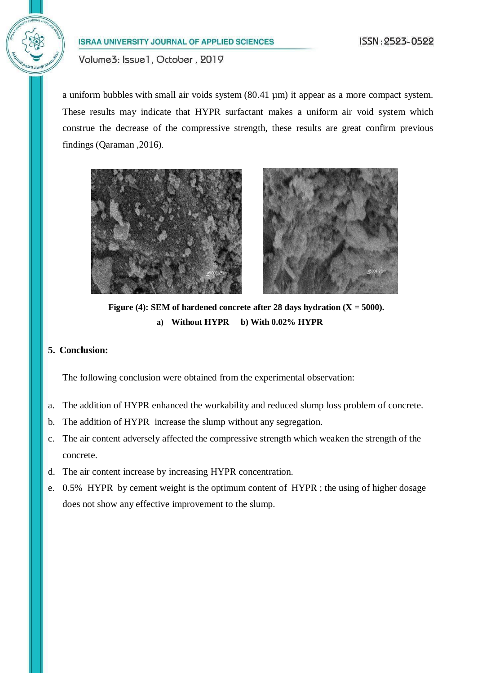Volume3: Issue1, October, 2019

a uniform bubbles with small air voids system (80.41 µm) it appear as a more compact system. These results may indicate that HYPR surfactant makes a uniform air void system which construe the decrease of the compressive strength, these results are great confirm previous findings (Qaraman ,2016).





**Figure** (4): **SEM** of hardened concrete after 28 days hydration  $(X = 5000)$ . **a) Without HYPR b) With 0.02% HYPR**

# **5. Conclusion:**

The following conclusion were obtained from the experimental observation:

- a. The addition of HYPR enhanced the workability and reduced slump loss problem of concrete.
- b. The addition of HYPR increase the slump without any segregation.
- c. The air content adversely affected the compressive strength which weaken the strength of the concrete.
- d. The air content increase by increasing HYPR concentration.
- e. 0.5% HYPR by cement weight is the optimum content of HYPR ; the using of higher dosage does not show any effective improvement to the slump.